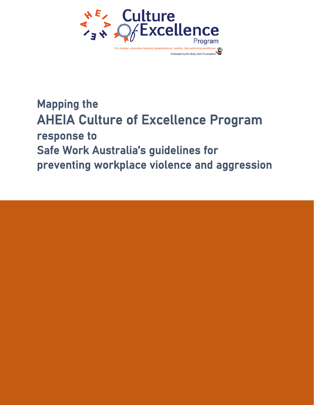

## Mapping the AHEIA Culture of Excellence Program response to Safe Work Australia's guidelines for preventing workplace violence and aggression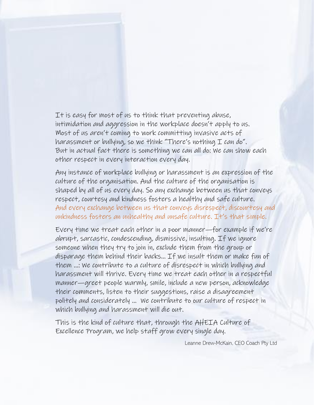It is easy for most of us to think that preventing abuse, intimidation and aggression in the workplace doesn't apply to us. Most of us aren't coming to work committing invasive acts of harassment or bullying, so we think "There's nothing I can do". But in actual fact there is something we can all do: We can show each other respect in every interaction every day.

Any instance of workplace bullying or harassment is an expression of the culture of the organisation. And the culture of the organisation is shaped by all of us every day. So any exchange between us that conveys respect, courtesy and kindness fosters a healthy and safe culture. And every exchange between us that conveys disrespect, discourtesy and unkindness fosters an unhealthy and unsafe culture. It's that simple.

Every time we treat each other in a poor manner—for example if we're abrupt, sarcastic, condescending, dismissive, insulting. If we ignore someone when they try to join in, exclude them from the group or disparage them behind their backs… If we insult them or make fun of them …: We contribute to a culture of disrespect in which bullying and harassment will thrive. Every time we treat each other in a respectful manner—greet people warmly, smile, include a new person, acknowledge their comments, listen to their suggestions, raise a disagreement politely and considerately … We contribute to our culture of respect in which bullying and harassment will die out.

This is the kind of culture that, through the AHEIA Culture of Excellence Program, we help staff grow every single day.

Leanne Drew-McKain, CEO Coach Pty Ltd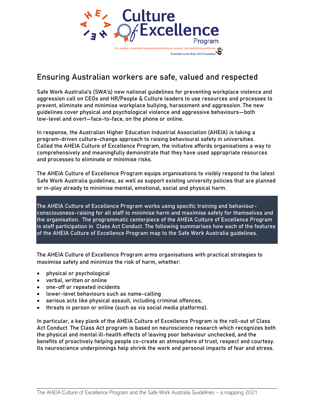

### Ensuring Australian workers are safe, valued and respected

Safe Work Australia's (SWA's) new national guidelines for preventing workplace violence and aggression call on CEOs and HR/People & Culture leaders to use resources and processes to prevent, eliminate and minimise workplace bullying, harassment and aggression. The new guidelines cover physical and psychological violence and aggressive behaviours—both low-level and overt—face-to-face, on the phone or online.

In response, the Australian Higher Education Industrial Association (AHEIA) is taking a program-driven culture-change approach to raising behavioural safety in universities. Called the AHEIA Culture of Excellence Program, the initiative affords organisations a way to comprehensively and meaningfully demonstrate that they have used appropriate resources and processes to eliminate or minimise risks.

The AHEIA Culture of Excellence Program equips organisations to visibly respond to the latest Safe Work Australia guidelines, as well as support existing university policies that are planned or in-play already to minimise mental, emotional, social and physical harm.

The AHEIA Culture of Excellence Program works using specific training and behaviourconsciousness-raising for all staff to minimise harm and maximise safety for themselves and the organisation. The programmatic centerpiece of the AHEIA Culture of Excellence Program is staff participation in Class Act Conduct. The following summarises how each of the features of the AHEIA Culture of Excellence Program map to the Safe Work Australia guidelines.

The AHEIA Culture of Excellence Program arms organisations with practical strategies to maximise safety and minimize the risk of harm, whether:

- physical or psychological
- verbal, written or online
- one-off or repeated incidents
- lower-level behaviours such as name-calling
- serious acts like physical assault, including criminal offences,
- threats in person or online (such as via social media platforms).

In particular, a key plank of the AHEIA Culture of Excellence Program is the roll-out of Class Act Conduct. The Class Act program is based on neuroscience research which recognizes both the physical and mental ill-health effects of leaving poor behaviour unchecked, and the benefits of proactively helping people co-create an atmosphere of trust, respect and courtesy. Its neuroscience underpinnings help shrink the work and personal impacts of fear and stress.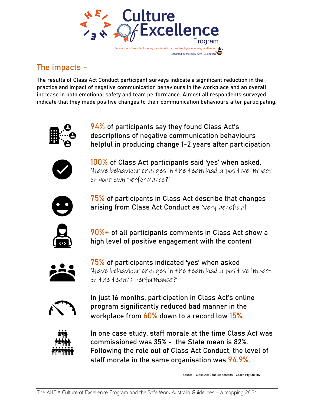

## The impacts –

The results of Class Act Conduct participant surveys indicate a significant reduction in the practice and impact of negative communication behaviours in the workplace and an overall increase in both emotional safety and team performance. Almost all respondents surveyed indicate that they made positive changes to their communication behaviours after participating.



**94% of participants say they found Class Act's** descriptions of negative communication behaviours helpful in producing change 1-2 years after participation



100% of Class Act participants said 'yes' when asked, 'Have behaviour changes in the team had a positive impact on your own performance?'



75% of participants in Class Act describe that changes arising from Class Act Conduct as 'very beneficial'



90%+ of all participants comments in Class Act show a high level of positive engagement with the content



75% of participants indicated 'yes' when asked 'Have behaviour changes in the team had a positive impact on the team's performance?'



In just 16 months, participation in Class Act's online program significantly reduced bad manner in the workplace from  $60\%$  down to a record low  $15\%$ .



In one case study, staff morale at the time Class Act was commissioned was 35% - the State mean is 82%. Following the role out of Class Act Conduct, the level of staff morale in the same organisation was 94.9%.

Source – Class Act Conduct benefits - Coach Pty Ltd 2021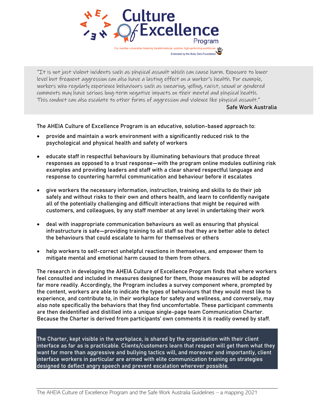Culture Excellence Program ational, positive, high-performing wor

"It is not just violent incidents such as physical assault which can cause harm. Exposure to lower level but frequent aggression can also have a lasting effect on a worker's health. For example, workers who regularly experience behaviours such as swearing, yelling, racist, sexual or gendered comments may have serious long-term negative impacts on their mental and physical health. This conduct can also escalate to other forms of aggression and violence like physical assault." Safe Work Australia

Endorsed by the Bully Zero Foundatio

The AHEIA Culture of Excellence Program is an educative, solution-based approach to:

- provide and maintain a work environment with a significantly reduced risk to the psychological and physical health and safety of workers
- educate staff in respectful behaviours by illuminating behaviours that produce threat responses as opposed to a trust response—with the program online modules outlining risk examples and providing leaders and staff with a clear shared respectful language and response to countering harmful communication and behaviour before it escalates
- give workers the necessary information, instruction, training and skills to do their job safely and without risks to their own and others health, and learn to confidently navigate all of the potentially challenging and difficult interactions that might be required with customers, and colleagues, by any staff member at any level in undertaking their work
- deal with inappropriate communication behaviours as well as ensuring that physical infrastructure is safe—providing training to all staff so that they are better able to detect the behaviours that could escalate to harm for themselves or others
- help workers to self-correct unhelpful reactions in themselves, and empower them to mitigate mental and emotional harm caused to them from others.

The research in developing the AHEIA Culture of Excellence Program finds that where workers feel consulted and included in measures designed for them, those measures will be adopted far more readily. Accordingly, the Program includes a survey component where, prompted by the content, workers are able to indicate the types of behaviours that they would most like to experience, and contribute to, in their workplace for safety and wellness, and conversely, may also note specifically the behaviors that they find uncomfortable. These participant comments are then deidentified and distilled into a unique single-page team Communication Charter. Because the Charter is derived from participants' own comments it is readily owned by staff.

The Charter, kept visible in the workplace, is shared by the organisation with their client interface as far as is practicable. Clients/customers learn that respect will get them what they want far more than aggressive and bullying tactics will, and moreover and importantly, client interface workers in particular are armed with elite communication training on strategies designed to deflect angry speech and prevent escalation wherever possible.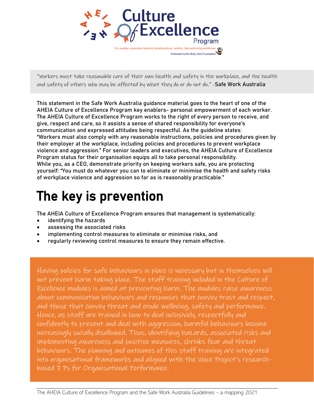

"Workers must take reasonable care of their own health and safety in the workplace, and the health and safety of others who may be affected by what they do or do not do." -Safe Work Australia

This statement in the Safe Work Australia guidance material goes to the heart of one of the AHEIA Culture of Excellence Program key enablers- personal empowerment of each worker. The AHEIA Culture of Excellence Program works to the right of every person to receive, and give, respect and care, so it assists a sense of shared responsibility for everyone's communication and expressed attitudes being respectful. As the guideline states: "Workers must also comply with any reasonable instructions, policies and procedures given by their employer at the workplace, including policies and procedures to prevent workplace violence and aggression." For senior leaders and executives, the AHEIA Culture of Excellence Program status for their organisation equips all to take personal responsibility. While you, as a CEO, demonstrate priority on keeping workers safe, you are protecting yourself: "You must do whatever you can to eliminate or minimise the health and safety risks of workplace violence and aggression so far as is reasonably practicable."

# The key is prevention

The AHEIA Culture of Excellence Program ensures that management is systematically:

- identifying the hazards
- assessing the associated risks
- implementing control measures to eliminate or minimise risks, and
- regularly reviewing control measures to ensure they remain effective.

Having policies for safe behaviours in place is necessary but in themselves will not prevent harm taking place. The staff training included in the Culture of Excellence modules is aimed at preventing harm. The modules raise awareness about communication behaviours and responses that convey trust and respect, and those that convey threat and erode wellbeing, safety and performance. Hence, as staff are trained in how to deal inclusively, respectfully and confidently to prevent and deal with aggression, harmful behaviours become increasingly socially disallowed. Thus, identifying hazards, associated risks and implementing awareness and positive measures, shrinks fear and threat behaviours. The planning and outcomes of this staff training are integrated into organisational frameworks and aligned with the Voice Project's researchbased 7 Ps for Organisational Performance.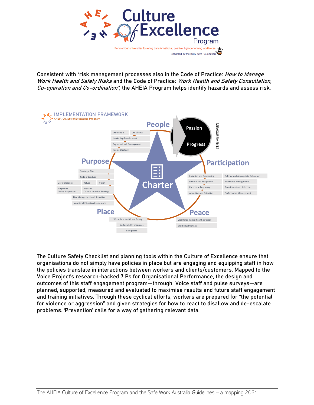

Consistent with "risk management processes also in the Code of Practice: *How to Manage* Work Health and Safety Risks and the Code of Practice: Work Health and Safety Consultation, Co-operation and Co-ordination", the AHEIA Program helps identify hazards and assess risk.



The Culture Safety Checklist and planning tools within the Culture of Excellence ensure that organisations do not simply have policies in place but are engaging and equipping staff in how the policies translate in interactions between workers and clients/customers. Mapped to the Voice Project's research-backed 7 Ps for Organisational Performance, the design and outcomes of this staff engagement program—through Voice staff and pulse surveys—are planned, supported, measured and evaluated to maximise results and future staff engagement and training initiatives. Through these cyclical efforts, workers are prepared for "the potential for violence or aggression" and given strategies for how to react to disallow and de-escalate problems. 'Prevention' calls for a way of gathering relevant data.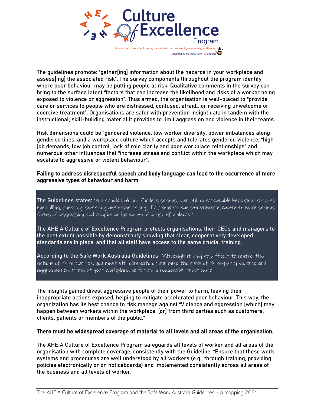

The guidelines promote: "gather[ing] information about the hazards in your workplace and assess[ing] the associated risk". The survey components throughout the program identify where poor behaviour may be putting people at risk. Qualitative comments in the survey can bring to the surface latent "factors that can increase the likelihood and risks of a worker being exposed to violence or aggression". Thus armed, the organisation is well-placed to "provide care or services to people who are distressed, confused, afraid….or receiving unwelcome or coercive treatment". Organisations are safer with prevention insight data in tandem with the instructional, skill-building material it provides to limit aggression and violence in their teams.

Risk dimensions could be "gendered violence, low worker diversity, power imbalances along gendered lines, and a workplace culture which accepts and tolerates gendered violence, "high job demands, low job control, lack of role clarity and poor workplace relationships" and numerous other influences that "increase stress and conflict within the workplace which may escalate to aggressive or violent behaviour".

#### Failing to address disrespectful speech and body language can lead to the occurrence of more aggressive types of behaviour and harm.

The Guidelines states: "You should look out for less serious, but still unacceptable behaviour such as eye rolling, sneering, swearing and name-calling. This conduct can sometimes escalate to more serious forms of aggression and may be an indication of a risk of violence."

The AHEIA Culture of Excellence Program protects organisations, their CEOs and managers to the best extent possible by demonstrably showing that clear, cooperatively developed standards are in place, and that all staff have access to the same crucial training.

According to the Safe Work Australia Guidelines: "Although it may be difficult to control the actions of third parties, you must still eliminate or minimise the risks of third‐party violence and aggression occurring at your workplace, so far as is reasonably practicable."

The insights gained divest aggressive people of their power to harm, leaving their inappropriate actions exposed, helping to mitigate accelerated poor behaviour. This way, the organization has its best chance to risk manage against "Violence and aggression [which] may happen between workers within the workplace, [or] from third parties such as customers, clients, patients or members of the public."

#### There must be widespread coverage of material to all levels and all areas of the organisation.

The AHEIA Culture of Excellence Program safeguards all levels of worker and all areas of the organisation with complete coverage, consistently with the Guideline: "Ensure that these work systems and procedures are well understood by all workers (e.g., through training, providing policies electronically or on noticeboards) and implemented consistently across all areas of the business and all levels of worker.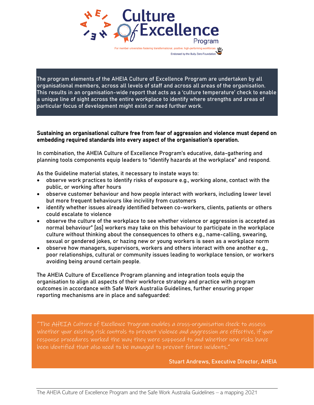

g transformational, positive, high-performing worl Endorsed by the Bully Zero Foundatio

The program elements of the AHEIA Culture of Excellence Program are undertaken by all organisational members, across all levels of staff and across all areas of the organisation. This results in an organisation-wide report that acts as a 'culture temperature' check to enable a unique line of sight across the entire workplace to identify where strengths and areas of particular focus of development might exist or need further work.

#### Sustaining an organisational culture free from fear of aggression and violence must depend on embedding required standards into every aspect of the organisation's operation.

In combination, the AHEIA Culture of Excellence Program's educative, data-gathering and planning tools components equip leaders to "identify hazards at the workplace" and respond.

As the Guideline material states, it necessary to instate ways to:

- observe work practices to identify risks of exposure e.g., working alone, contact with the public, or working after hours
- observe customer behaviour and how people interact with workers, including lower level but more frequent behaviours like incivility from customers
- identify whether issues already identified between co-workers, clients, patients or others could escalate to violence
- observe the culture of the workplace to see whether violence or aggression is accepted as normal behaviour" [as] workers may take on this behaviour to participate in the workplace culture without thinking about the consequences to others e.g., name-calling, swearing, sexual or gendered jokes, or hazing new or young workers is seen as a workplace norm
- observe how managers, supervisors, workers and others interact with one another e.g., poor relationships, cultural or community issues leading to workplace tension, or workers avoiding being around certain people.

The AHEIA Culture of Excellence Program planning and integration tools equip the organisation to align all aspects of their workforce strategy and practice with program outcomes in accordance with Safe Work Australia Guidelines, further ensuring proper reporting mechanisms are in place and safeguarded:

"The AHEIA Culture of Excellence Program enables a cross-organisation check to assess whether your existing risk controls to prevent violence and aggression are effective, if your response procedures worked the way they were supposed to and whether new risks have been identified that also need to be managed to prevent future incidents."

Stuart Andrews, Executive Director, AHEIA

l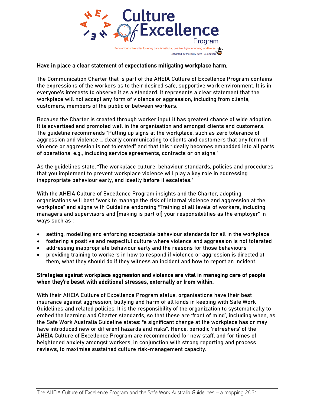

#### Have in place a clear statement of expectations mitigating workplace harm.

The Communication Charter that is part of the AHEIA Culture of Excellence Program contains the expressions of the workers as to their desired safe, supportive work environment. It is in everyone's interests to observe it as a standard. It represents a clear statement that the workplace will not accept any form of violence or aggression, including from clients, customers, members of the public or between workers.

Because the Charter is created through worker input it has greatest chance of wide adoption. It is advertised and promoted well in the organisation and amongst clients and customers. The guideline recommends "Putting up signs at the workplace, such as zero tolerance of aggression and violence … clearly communicating to clients and customers that any form of violence or aggression is not tolerated" and that this "ideally becomes embedded into all parts of operations, e.g., including service agreements, contracts or on signs."

As the guidelines state, "The workplace culture, behaviour standards, policies and procedures that you implement to prevent workplace violence will play a key role in addressing inappropriate behaviour early, and ideally before it escalates."

With the AHEIA Culture of Excellence Program insights and the Charter, adopting organisations will best "work to manage the risk of internal violence and aggression at the workplace" and aligns with Guideline endorsing "Training of all levels of workers, including managers and supervisors and [making is part of] your responsibilities as the employer" in ways such as :

- setting, modelling and enforcing acceptable behaviour standards for all in the workplace
- fostering a positive and respectful culture where violence and aggression is not tolerated
- addressing inappropriate behaviour early and the reasons for those behaviours
- providing training to workers in how to respond if violence or aggression is directed at them, what they should do if they witness an incident and how to report an incident.

#### Strategies against workplace aggression and violence are vital in managing care of people when they're beset with additional stresses, externally or from within.

With their AHEIA Culture of Excellence Program status, organisations have their best insurance against aggression, bullying and harm of all kinds in keeping with Safe Work Guidelines and related policies. It is the responsibility of the organization to systematically to embed the learning and Charter standards, so that these are 'front of mind', including when, as the Safe Work Australia Guideline states: "a significant change at the workplace has or may have introduced new or different hazards and risks". Hence, periodic 'refreshers' of the AHEIA Culture of Excellence Program are recommended for new staff, and for times of heightened anxiety amongst workers, in conjunction with strong reporting and process reviews, to maximise sustained culture risk-management capacity.